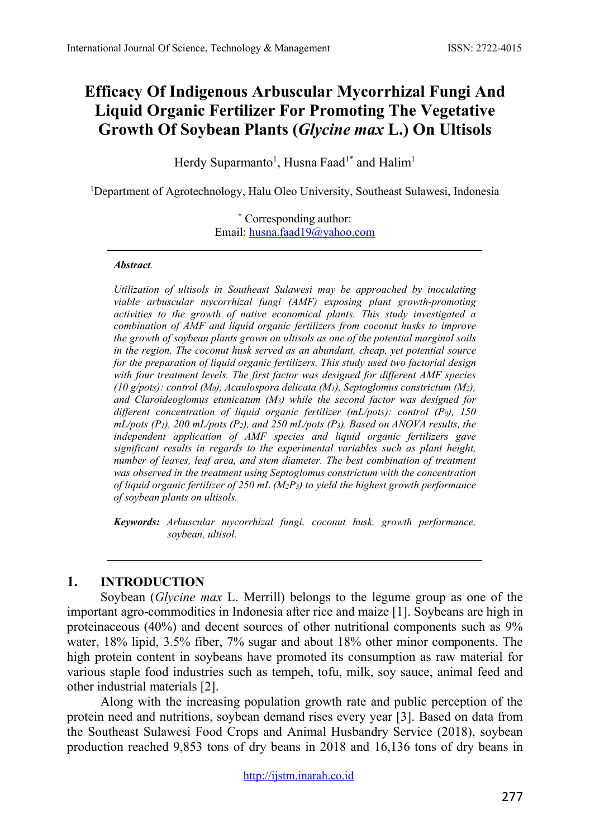# **Efficacy Of Indigenous Arbuscular Mycorrhizal Fungi And Liquid Organic Fertilizer For Promoting The Vegetative Growth Of Soybean Plants (***Glycine max* **L.) On Ultisols**

Herdy Suparmanto<sup>1</sup>, Husna Faad<sup>1\*</sup> and Halim<sup>1</sup>

<sup>1</sup>Department of Agrotechnology, Halu Oleo University, Southeast Sulawesi, Indonesia

\* Corresponding author: Email: [husna.faad19@yahoo.com](mailto:husna.faad19@yahoo.com)

#### *Abstract.*

*Utilization of ultisols in Southeast Sulawesi may be approached by inoculating viable arbuscular mycorrhizal fungi (AMF) exposing plant growth-promoting activities to the growth of native economical plants. This study investigated a combination of AMF and liquid organic fertilizers from coconut husks to improve the growth of soybean plants grown on ultisols as one of the potential marginal soils in the region. The coconut husk served as an abundant, cheap, yet potential source for the preparation of liquid organic fertilizers. This study used two factorial design with four treatment levels. The first factor was designed for different AMF species (10 g/pots): control (M0), Acaulospora delicata (M1), Septoglomus constrictum (M2), and Claroideoglomus etunicatum (M3) while the second factor was designed for different concentration of liquid organic fertilizer (mL/pots): control (P0), 150 mL/pots (P1), 200 mL/pots (P2), and 250 mL/pots (P3). Based on ANOVA results, the independent application of AMF species and liquid organic fertilizers gave significant results in regards to the experimental variables such as plant height, number of leaves, leaf area, and stem diameter. The best combination of treatment was observed in the treatment using Septoglomus constrictum with the concentration of liquid organic fertilizer of 250 mL (M2P3) to yield the highest growth performance of soybean plants on ultisols.*

*Keywords: Arbuscular mycorrhizal fungi, coconut husk, growth performance, soybean, ultisol.*

### **1. INTRODUCTION**

Soybean (*Glycine max* L. Merrill) belongs to the legume group as one of the important agro-commodities in Indonesia after rice and maize [1]. Soybeans are high in proteinaceous (40%) and decent sources of other nutritional components such as 9% water, 18% lipid, 3.5% fiber, 7% sugar and about 18% other minor components. The high protein content in soybeans have promoted its consumption as raw material for various staple food industries such as tempeh, tofu, milk, soy sauce, animal feed and other industrial materials [2].

Along with the increasing population growth rate and public perception of the protein need and nutritions, soybean demand rises every year [3]. Based on data from the Southeast Sulawesi Food Crops and Animal Husbandry Service (2018), soybean production reached 9,853 tons of dry beans in 2018 and 16,136 tons of dry beans in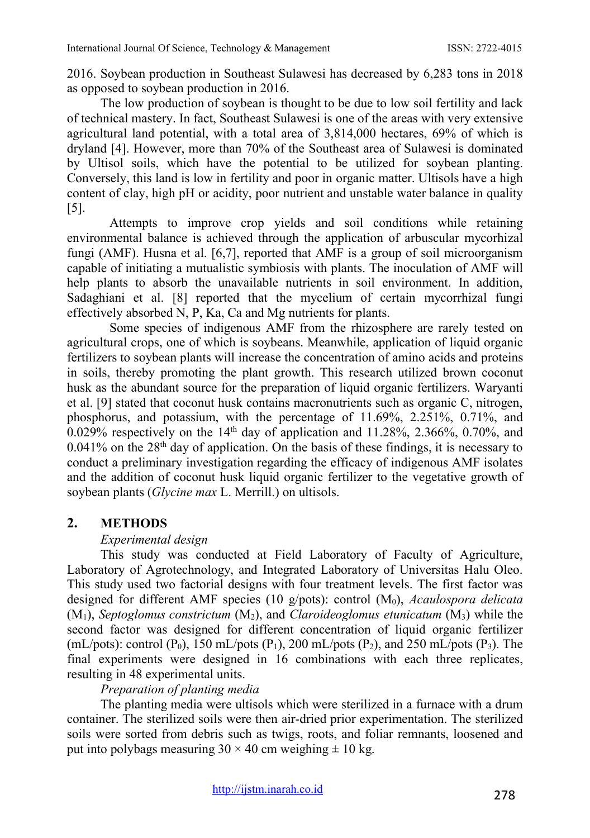2016. Soybean production in Southeast Sulawesi has decreased by 6,283 tons in 2018 as opposed to soybean production in 2016.

The low production of soybean is thought to be due to low soil fertility and lack of technical mastery. In fact, Southeast Sulawesi is one of the areas with very extensive agricultural land potential, with a total area of 3,814,000 hectares, 69% of which is dryland [4]. However, more than 70% of the Southeast area of Sulawesi is dominated by Ultisol soils, which have the potential to be utilized for soybean planting. Conversely, this land is low in fertility and poor in organic matter. Ultisols have a high content of clay, high pH or acidity, poor nutrient and unstable water balance in quality [5].

Attempts to improve crop yields and soil conditions while retaining environmental balance is achieved through the application of arbuscular mycorhizal fungi (AMF). Husna et al. [6,7], reported that AMF is a group of soil microorganism capable of initiating a mutualistic symbiosis with plants. The inoculation of AMF will help plants to absorb the unavailable nutrients in soil environment. In addition, Sadaghiani et al. [8] reported that the mycelium of certain mycorrhizal fungi effectively absorbed N, P, Ka, Ca and Mg nutrients for plants.

Some species of indigenous AMF from the rhizosphere are rarely tested on agricultural crops, one of which is soybeans. Meanwhile, application of liquid organic fertilizers to soybean plants will increase the concentration of amino acids and proteins in soils, thereby promoting the plant growth. This research utilized brown coconut husk as the abundant source for the preparation of liquid organic fertilizers. Waryanti et al. [9] stated that coconut husk contains macronutrients such as organic C, nitrogen, phosphorus, and potassium, with the percentage of 11.69%, 2.251%, 0.71%, and  $0.029\%$  respectively on the 14<sup>th</sup> day of application and 11.28%, 2.366%, 0.70%, and  $0.041\%$  on the 28<sup>th</sup> day of application. On the basis of these findings, it is necessary to conduct a preliminary investigation regarding the efficacy of indigenous AMF isolates and the addition of coconut husk liquid organic fertilizer to the vegetative growth of soybean plants (*Glycine max* L. Merrill.) on ultisols.

### **2. METHODS**

### *Experimental design*

This study was conducted at Field Laboratory of Faculty of Agriculture, Laboratory of Agrotechnology, and Integrated Laboratory of Universitas Halu Oleo. This study used two factorial designs with four treatment levels. The first factor was designed for different AMF species (10 g/pots): control (M0), *Acaulospora delicata*  (M1), *Septoglomus constrictum* (M2), and *Claroideoglomus etunicatum* (M3) while the second factor was designed for different concentration of liquid organic fertilizer (mL/pots): control  $(P_0)$ , 150 mL/pots  $(P_1)$ , 200 mL/pots  $(P_2)$ , and 250 mL/pots  $(P_3)$ . The final experiments were designed in 16 combinations with each three replicates, resulting in 48 experimental units.

### *Preparation of planting media*

The planting media were ultisols which were sterilized in a furnace with a drum container. The sterilized soils were then air-dried prior experimentation. The sterilized soils were sorted from debris such as twigs, roots, and foliar remnants, loosened and put into polybags measuring  $30 \times 40$  cm weighing  $\pm 10$  kg.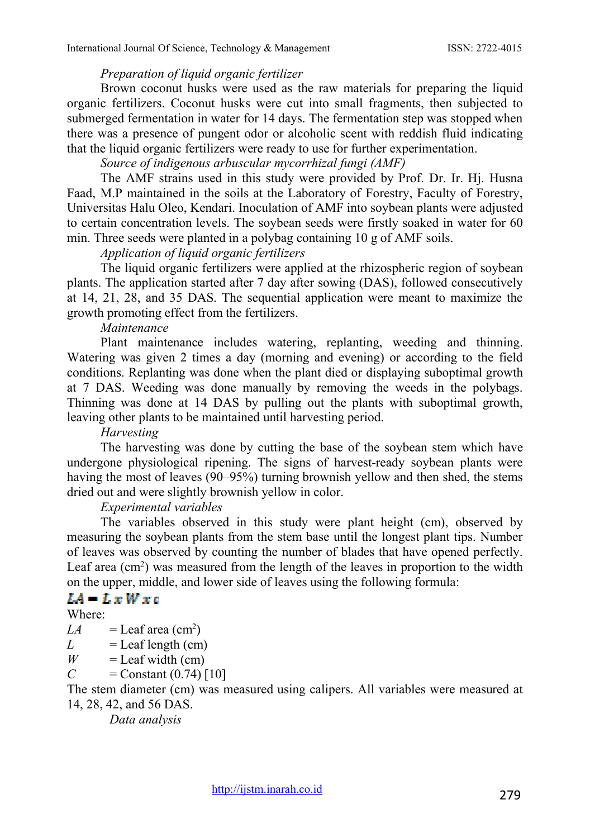#### *Preparation of liquid organic fertilizer*

Brown coconut husks were used as the raw materials for preparing the liquid organic fertilizers. Coconut husks were cut into small fragments, then subjected to submerged fermentation in water for 14 days. The fermentation step was stopped when there was a presence of pungent odor or alcoholic scent with reddish fluid indicating that the liquid organic fertilizers were ready to use for further experimentation.

*Source of indigenous arbuscular mycorrhizal fungi (AMF)*

The AMF strains used in this study were provided by Prof. Dr. Ir. Hj. Husna Faad, M.P maintained in the soils at the Laboratory of Forestry, Faculty of Forestry, Universitas Halu Oleo, Kendari. Inoculation of AMF into soybean plants were adjusted to certain concentration levels. The soybean seeds were firstly soaked in water for 60 min. Three seeds were planted in a polybag containing 10 g of AMF soils.

*Application of liquid organic fertilizers*

The liquid organic fertilizers were applied at the rhizospheric region of soybean plants. The application started after 7 day after sowing (DAS), followed consecutively at 14, 21, 28, and 35 DAS. The sequential application were meant to maximize the growth promoting effect from the fertilizers.

*Maintenance*

Plant maintenance includes watering, replanting, weeding and thinning. Watering was given 2 times a day (morning and evening) or according to the field conditions. Replanting was done when the plant died or displaying suboptimal growth at 7 DAS. Weeding was done manually by removing the weeds in the polybags. Thinning was done at 14 DAS by pulling out the plants with suboptimal growth, leaving other plants to be maintained until harvesting period.

*Harvesting*

The harvesting was done by cutting the base of the soybean stem which have undergone physiological ripening. The signs of harvest-ready soybean plants were having the most of leaves (90–95%) turning brownish yellow and then shed, the stems dried out and were slightly brownish yellow in color.

#### *Experimental variables*

The variables observed in this study were plant height (cm), observed by measuring the soybean plants from the stem base until the longest plant tips. Number of leaves was observed by counting the number of blades that have opened perfectly. Leaf area  $(cm<sup>2</sup>)$  was measured from the length of the leaves in proportion to the width on the upper, middle, and lower side of leaves using the following formula:

## $LA = L \times W \times c$

Where:

 $LA =$ Leaf area (cm<sup>2</sup>)

 $L =$ Leaf length (cm)

- $W =$ Leaf width (cm)
- *C* = Constant  $(0.74)$  [10]

The stem diameter (cm) was measured using calipers. All variables were measured at 14, 28, 42, and 56 DAS.

*Data analysis*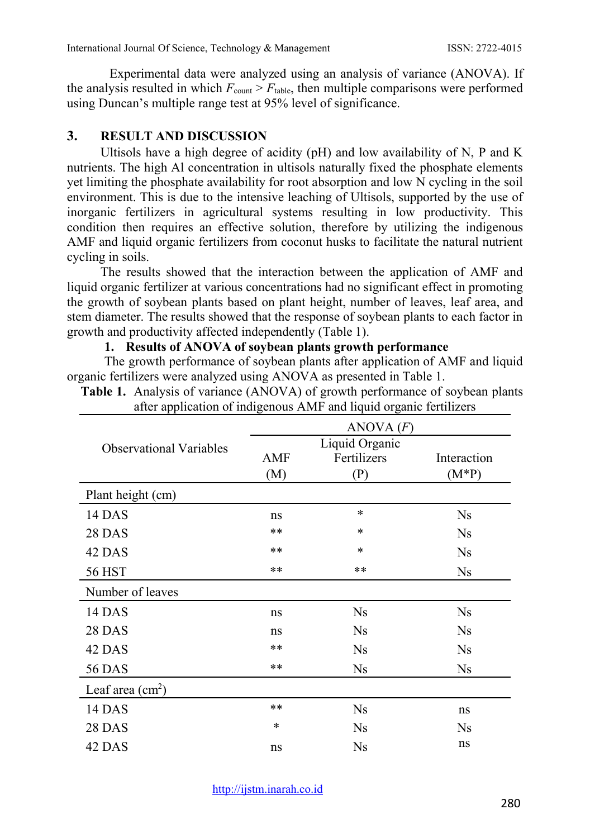Experimental data were analyzed using an analysis of variance (ANOVA). If the analysis resulted in which  $F_{\text{count}} > F_{\text{table}}$ , then multiple comparisons were performed using Duncan's multiple range test at 95% level of significance.

### **3. RESULT AND DISCUSSION**

Ultisols have a high degree of acidity ( $pH$ ) and low availability of N, P and K nutrients. The high Al concentration in ultisols naturally fixed the phosphate elements yet limiting the phosphate availability for root absorption and low N cycling in the soil environment. This is due to the intensive leaching of Ultisols, supported by the use of inorganic fertilizers in agricultural systems resulting in low productivity. This condition then requires an effective solution, therefore by utilizing the indigenous AMF and liquid organic fertilizers from coconut husks to facilitate the natural nutrient cycling in soils.

The results showed that the interaction between the application of AMF and liquid organic fertilizer at various concentrations had no significant effect in promoting the growth of soybean plants based on plant height, number of leaves, leaf area, and stem diameter. The results showed that the response of soybean plants to each factor in growth and productivity affected independently (Table 1).

#### **1. Results of ANOVA of soybean plants growth performance**

The growth performance of soybean plants after application of AMF and liquid organic fertilizers were analyzed using ANOVA as presented in Table 1.

| <b>Table 1.</b> Alialysis of variance (ANOVA) or growth performance of soybean plant<br>after application of indigenous AMF and liquid organic fertilizers |     |                |             |
|------------------------------------------------------------------------------------------------------------------------------------------------------------|-----|----------------|-------------|
|                                                                                                                                                            |     | ANOVA(F)       |             |
| <b>Observational Variables</b>                                                                                                                             |     | Liquid Organic |             |
|                                                                                                                                                            | AMF | Fertilizers    | Interaction |
|                                                                                                                                                            | (M) | (P)            | $(M^*P)$    |
| Plant height (cm)                                                                                                                                          |     |                |             |
| 14 DAS                                                                                                                                                     | ns  | $\ast$         | Ns          |
| 28 DAS                                                                                                                                                     | **  | *              | Ns          |
| 42 DAS                                                                                                                                                     | **  | *              | Ns          |

Analysis of variance (ANOVA) of growth performance of soybean plants

| 28 DAS            | **     | $\ast$    | <b>Ns</b>      |
|-------------------|--------|-----------|----------------|
| 42 DAS            | **     | $*$       | <b>Ns</b>      |
| 56 HST            | **     | $***$     | Ns             |
| Number of leaves  |        |           |                |
| 14 DAS            | ns     | <b>Ns</b> | <b>Ns</b>      |
| 28 DAS            | ns     | <b>Ns</b> | <b>Ns</b>      |
| 42 DAS            | **     | <b>Ns</b> | <b>Ns</b>      |
| <b>56 DAS</b>     | **     | <b>Ns</b> | Ns             |
| Leaf area $(cm2)$ |        |           |                |
| 14 DAS            | $***$  | <b>Ns</b> | ns             |
| <b>28 DAS</b>     | $\ast$ | <b>Ns</b> | N <sub>S</sub> |
| 42 DAS            | ns     | <b>Ns</b> | ns             |

[http://ijstm.inarah.co.id](http://ijstm.inarah.co.id/index.php/ijstm/about/submissions)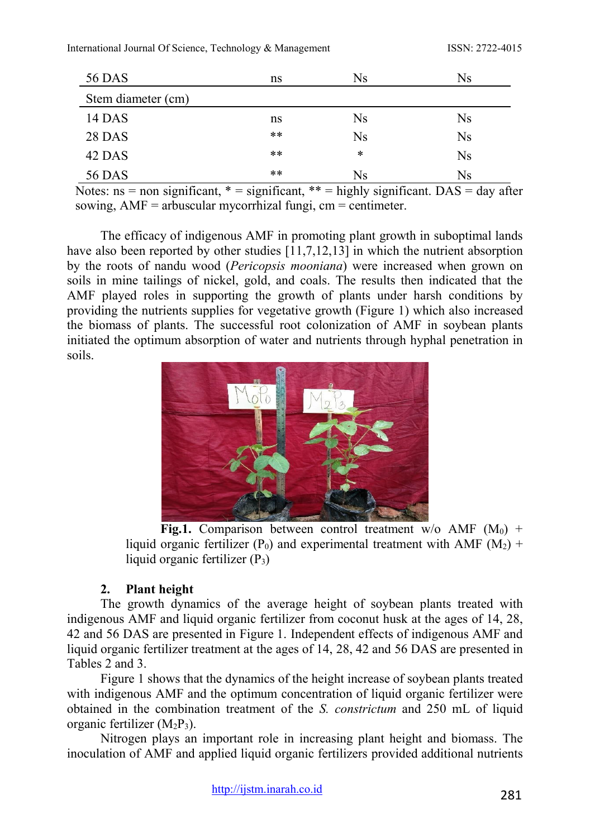| 56 DAS             | ns    | Ns        | Ns        |
|--------------------|-------|-----------|-----------|
| Stem diameter (cm) |       |           |           |
| 14 DAS             | ns    | Ns        | Ns        |
| <b>28 DAS</b>      | **    | <b>Ns</b> | Ns        |
| 42 DAS             | $***$ | *         | <b>Ns</b> |
| 56 DAS             | **    | Ns        | Ns        |

Notes:  $ns = non significant, * = significant, ** = highly significant. DAS = day after$ sowing,  $AMF =$  arbuscular mycorrhizal fungi, cm = centimeter.

The efficacy of indigenous AMF in promoting plant growth in suboptimal lands have also been reported by other studies  $\overline{11,7,12,13}$  in which the nutrient absorption by the roots of nandu wood (*Pericopsis mooniana*) were increased when grown on soils in mine tailings of nickel, gold, and coals. The results then indicated that the AMF played roles in supporting the growth of plants under harsh conditions by providing the nutrients supplies for vegetative growth (Figure 1) which also increased the biomass of plants. The successful root colonization of AMF in soybean plants initiated the optimum absorption of water and nutrients through hyphal penetration in soils.



**Fig.1.** Comparison between control treatment w/o AMF  $(M_0)$  + liquid organic fertilizer (P<sub>0</sub>) and experimental treatment with AMF ( $M<sub>2</sub>$ ) + liquid organic fertilizer  $(P_3)$ 

### **2. Plant height**

The growth dynamics of the average height of soybean plants treated with indigenous AMF and liquid organic fertilizer from coconut husk at the ages of 14, 28, 42 and 56 DAS are presented in Figure 1. Independent effects of indigenous AMF and liquid organic fertilizer treatment at the ages of 14, 28, 42 and 56 DAS are presented in Tables 2 and 3.

Figure 1 shows that the dynamics of the height increase of soybean plants treated with indigenous AMF and the optimum concentration of liquid organic fertilizer were obtained in the combination treatment of the *S. constrictum* and 250 mL of liquid organic fertilizer  $(M_2P_3)$ .

Nitrogen plays an important role in increasing plant height and biomass. The inoculation of AMF and applied liquid organic fertilizers provided additional nutrients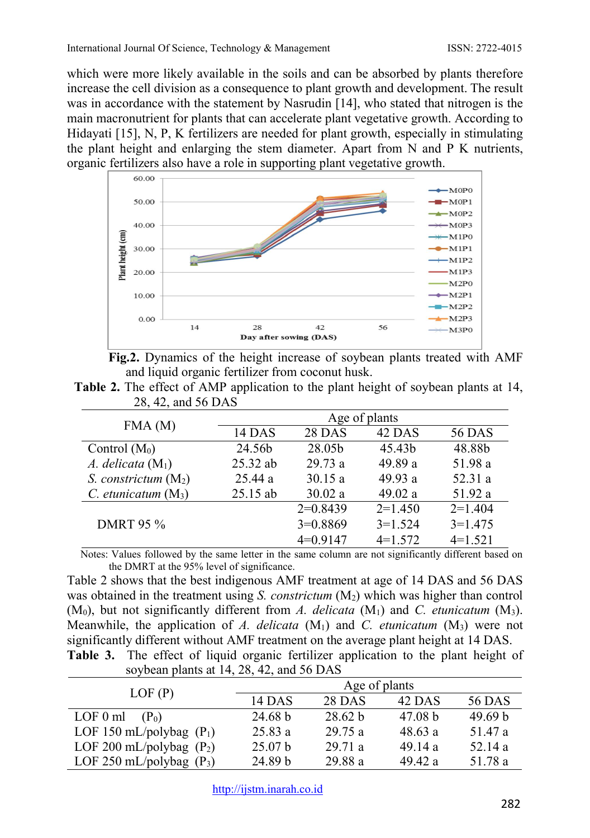which were more likely available in the soils and can be absorbed by plants therefore increase the cell division as a consequence to plant growth and development. The result was in accordance with the statement by Nasrudin [14], who stated that nitrogen is the main macronutrient for plants that can accelerate plant vegetative growth. According to Hidayati [15], N, P, K fertilizers are needed for plant growth, especially in stimulating the plant height and enlarging the stem diameter. Apart from N and P K nutrients, organic fertilizers also have a role in supporting plant vegetative growth.





**Table 2.** The effect of AMP application to the plant height of soybean plants at 14, 28, 42, and 56 DAS

| FMA(M)                                                                            | Age of plants                                                                                                   |            |           |                                     |  |  |  |  |
|-----------------------------------------------------------------------------------|-----------------------------------------------------------------------------------------------------------------|------------|-----------|-------------------------------------|--|--|--|--|
|                                                                                   | 14 DAS                                                                                                          | 28 DAS     | 42 DAS    | <b>56 DAS</b>                       |  |  |  |  |
| Control $(M_0)$                                                                   | 24.56b                                                                                                          | 28.05b     | 45.43b    | 48.88b                              |  |  |  |  |
| A. delicata $(M_1)$                                                               | 25.32 ab                                                                                                        | 29.73a     | 49.89 a   | 51.98 a                             |  |  |  |  |
| S. constrictum $(M_2)$                                                            | 25.44 a                                                                                                         | 30.15a     | 49.93a    | 52.31 a                             |  |  |  |  |
| $C.$ etunicatum $(M_3)$                                                           | $25.15$ ab                                                                                                      | 30.02a     | 49.02 a   | 51.92 a                             |  |  |  |  |
|                                                                                   |                                                                                                                 | $2=0.8439$ | $2=1.450$ | $2=1.404$                           |  |  |  |  |
| <b>DMRT 95 %</b>                                                                  |                                                                                                                 | $3=0.8869$ | $3=1.524$ | $3=1.475$                           |  |  |  |  |
|                                                                                   |                                                                                                                 | $4=0.9147$ | $4=1.572$ | $4=1.521$                           |  |  |  |  |
| $\mathbf{r}$ . The $\mathbf{r}$<br>0.11<br>$\mathbf{1}$ $\mathbf{1}$ $\mathbf{1}$ | the contract of the contract of the contract of the contract of the contract of the contract of the contract of |            | $\cdots$  | 1.00<br>$\sim$ $\sim$ $\sim$ $\sim$ |  |  |  |  |

Notes: Values followed by the same letter in the same column are not significantly different based on the DMRT at the 95% level of significance.

Table 2 shows that the best indigenous AMF treatment at age of 14 DAS and 56 DAS was obtained in the treatment using *S. constrictum* (M<sub>2</sub>) which was higher than control (M0), but not significantly different from *A. delicata* (M1) and *C. etunicatum* (M3). Meanwhile, the application of *A. delicata*  $(M_1)$  and *C. etunicatum*  $(M_3)$  were not significantly different without AMF treatment on the average plant height at 14 DAS. **Table 3.** The effect of liquid organic fertilizer application to the plant height of

|                                          |  |  | able 3. The effect of liquid organic fertilizer application to the plant height |  |  |
|------------------------------------------|--|--|---------------------------------------------------------------------------------|--|--|
| soybean plants at 14, 28, 42, and 56 DAS |  |  |                                                                                 |  |  |

| LOF(P)                     | Age of plants |               |         |               |  |  |  |  |
|----------------------------|---------------|---------------|---------|---------------|--|--|--|--|
|                            | 14 DAS        | <b>28 DAS</b> | 42 DAS  | <b>56 DAS</b> |  |  |  |  |
| $LOF 0$ ml<br>$(P_0)$      | 24.68 b       | 28.62 b       | 47.08 b | 49.69 b       |  |  |  |  |
| LOF 150 mL/polybag $(P_1)$ | 25.83a        | 29.75a        | 48.63a  | 51.47 a       |  |  |  |  |
| LOF 200 mL/polybag $(P_2)$ | 25.07 b       | 29.71 a       | 49.14a  | 52.14 a       |  |  |  |  |
| LOF 250 mL/polybag $(P_3)$ | 24.89 b       | 29.88 a       | 49.42 a | 51.78 a       |  |  |  |  |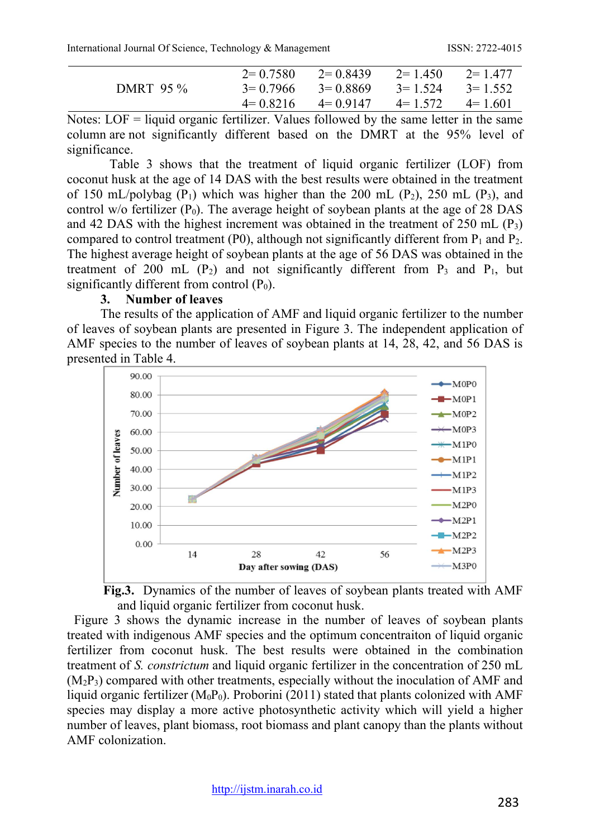International Journal Of Science, Technology & Management ISSN: 2722-4015

|           | $2=0.7580$ | $2=0.8439$ | $2 = 1.450$ | $2 = 1.477$ |
|-----------|------------|------------|-------------|-------------|
| DMRT 95 % | $3=0.7966$ | $3=0.8869$ | $3 = 1.524$ | $3 = 1.552$ |
|           | $4=0.8216$ | $4=0.9147$ | $4 = 1.572$ | $4 = 1.601$ |

Notes:  $LOF =$  liquid organic fertilizer. Values followed by the same letter in the same column are not significantly different based on the DMRT at the 95% level of significance.

Table 3 shows that the treatment of liquid organic fertilizer (LOF) from coconut husk at the age of 14 DAS with the best results were obtained in the treatment of 150 mL/polybag ( $P_1$ ) which was higher than the 200 mL ( $P_2$ ), 250 mL ( $P_3$ ), and control w/o fertilizer  $(P_0)$ . The average height of soybean plants at the age of 28 DAS and 42 DAS with the highest increment was obtained in the treatment of  $250$  mL  $(P_3)$ compared to control treatment (P0), although not significantly different from  $P_1$  and  $P_2$ . The highest average height of soybean plants at the age of 56 DAS was obtained in the treatment of 200 mL  $(P_2)$  and not significantly different from  $P_3$  and  $P_1$ , but significantly different from control  $(P_0)$ .

#### **3. Number of leaves**

The results of the application of AMF and liquid organic fertilizer to the number of leaves of soybean plants are presented in Figure 3. The independent application of AMF species to the number of leaves of soybean plants at 14, 28, 42, and 56 DAS is presented in Table 4.





Figure 3 shows the dynamic increase in the number of leaves of soybean plants treated with indigenous AMF species and the optimum concentraiton of liquid organic fertilizer from coconut husk. The best results were obtained in the combination treatment of *S. constrictum* and liquid organic fertilizer in the concentration of 250 mL  $(M<sub>2</sub>P<sub>3</sub>)$  compared with other treatments, especially without the inoculation of AMF and liquid organic fertilizer ( $M_0P_0$ ). Proborini (2011) stated that plants colonized with AMF species may display a more active photosynthetic activity which will yield a higher number of leaves, plant biomass, root biomass and plant canopy than the plants without AMF colonization.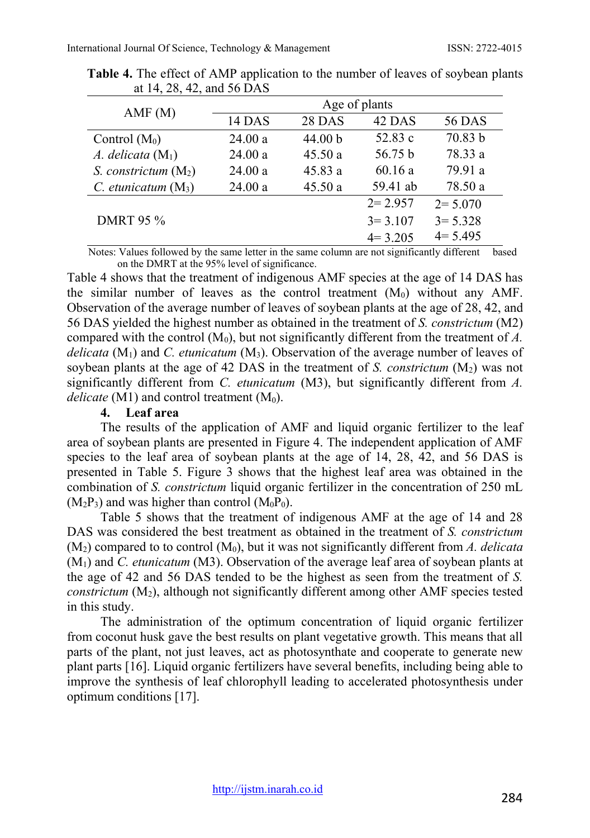| AMF(M)                 | Age of plants |         |             |               |  |  |  |  |
|------------------------|---------------|---------|-------------|---------------|--|--|--|--|
|                        | 14 DAS        | 28 DAS  | 42 DAS      | <b>56 DAS</b> |  |  |  |  |
| Control $(M_0)$        | 24.00a        | 44.00 b | 52.83 c     | 70.83 b       |  |  |  |  |
| A. delicata $(M_1)$    | 24.00a        | 45.50a  | 56.75 b     | 78.33 a       |  |  |  |  |
| S. constrictum $(M_2)$ | 24.00a        | 45.83a  | 60.16a      | 79.91 a       |  |  |  |  |
| C. etunicatum $(M_3)$  | 24.00a        | 45.50a  | 59.41 ab    | 78.50 a       |  |  |  |  |
|                        |               |         | $2 = 2.957$ | $2 = 5.070$   |  |  |  |  |
| <b>DMRT 95 %</b>       |               |         | $3 = 3.107$ | $3 = 5.328$   |  |  |  |  |
|                        |               |         | $4 = 3.205$ | $4 = 5.495$   |  |  |  |  |

**Table 4.** The effect of AMP application to the number of leaves of soybean plants at 14, 28, 42, and 56 DAS

Notes: Values followed by the same letter in the same column are not significantly different based on the DMRT at the 95% level of significance.

Table 4 shows that the treatment of indigenous AMF species at the age of 14 DAS has the similar number of leaves as the control treatment  $(M<sub>0</sub>)$  without any AMF. Observation of the average number of leaves of soybean plants at the age of 28, 42, and 56 DAS yielded the highest number as obtained in the treatment of *S. constrictum* (M2) compared with the control  $(M_0)$ , but not significantly different from the treatment of  $\vec{A}$ . *delicata* (M1) and *C. etunicatum* (M3). Observation of the average number of leaves of soybean plants at the age of 42 DAS in the treatment of *S. constrictum*  $(M_2)$  was not significantly different from *C. etunicatum* (M3), but significantly different from *A. delicate* (M1) and control treatment  $(M_0)$ .

#### **4. Leaf area**

The results of the application of AMF and liquid organic fertilizer to the leaf area of soybean plants are presented in Figure 4. The independent application of AMF species to the leaf area of soybean plants at the age of 14, 28, 42, and 56 DAS is presented in Table 5. Figure 3 shows that the highest leaf area was obtained in the combination of *S. constrictum* liquid organic fertilizer in the concentration of 250 mL  $(M_2P_3)$  and was higher than control  $(M_0P_0)$ .

Table 5 shows that the treatment of indigenous AMF at the age of 14 and 28 DAS was considered the best treatment as obtained in the treatment of *S. constrictum*  $(M<sub>2</sub>)$  compared to to control  $(M<sub>0</sub>)$ , but it was not significantly different from *A. delicata* (M1) and *C. etunicatum* (M3). Observation of the average leaf area of soybean plants at the age of 42 and 56 DAS tended to be the highest as seen from the treatment of *S. constrictum* (M<sub>2</sub>), although not significantly different among other AMF species tested in this study.

The administration of the optimum concentration of liquid organic fertilizer from coconut husk gave the best results on plant vegetative growth. This means that all parts of the plant, not just leaves, act as photosynthate and cooperate to generate new plant parts [16]. Liquid organic fertilizers have several benefits, including being able to improve the synthesis of leaf chlorophyll leading to accelerated photosynthesis under optimum conditions [17].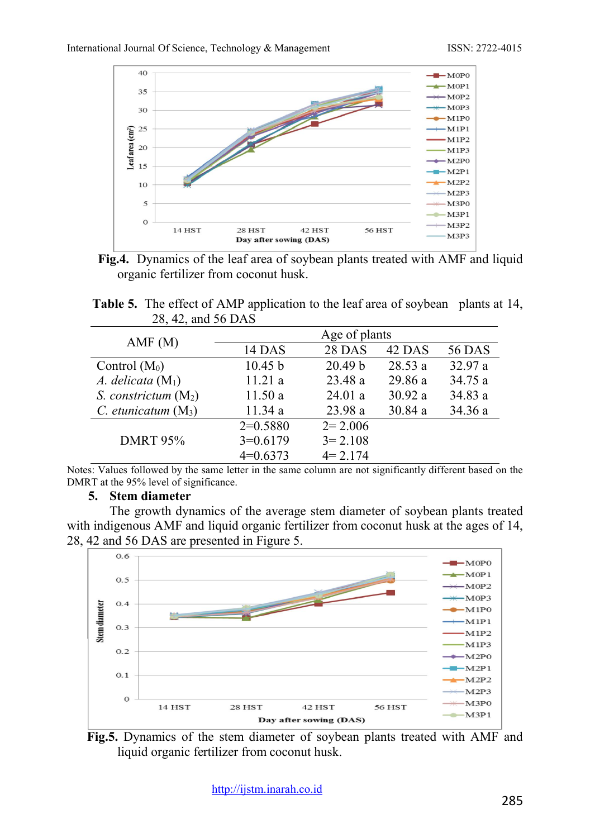



**Table 5.** The effect of AMP application to the leaf area of soybean plants at 14, 28, 42, and 56 DAS

| AMF(M)                 | Age of plants |                    |         |               |  |  |  |  |
|------------------------|---------------|--------------------|---------|---------------|--|--|--|--|
|                        | 14 DAS        | 28 DAS             | 42 DAS  | <b>56 DAS</b> |  |  |  |  |
| Control $(M_0)$        | 10.45 b       | 20.49 <sub>b</sub> | 28.53a  | 32.97 a       |  |  |  |  |
| A. delicata $(M_1)$    | 11.21a        | 23.48 a            | 29.86 a | 34.75 a       |  |  |  |  |
| S. constrictum $(M_2)$ | 11.50a        | 24.01a             | 30.92 a | 34.83 a       |  |  |  |  |
| C. etunicatum $(M_3)$  | 11.34 a       | 23.98 a            | 30.84 a | 34.36 a       |  |  |  |  |
|                        | $2=0.5880$    | $2 = 2.006$        |         |               |  |  |  |  |
| <b>DMRT 95%</b>        | $3=0.6179$    | $3 = 2.108$        |         |               |  |  |  |  |
|                        | $4=0.6373$    | $4 = 2.174$        |         |               |  |  |  |  |

Notes: Values followed by the same letter in the same column are not significantly different based on the DMRT at the 95% level of significance.

#### **5. Stem diameter**

The growth dynamics of the average stem diameter of soybean plants treated with indigenous AMF and liquid organic fertilizer from coconut husk at the ages of 14, 28, 42 and 56 DAS are presented in Figure 5.



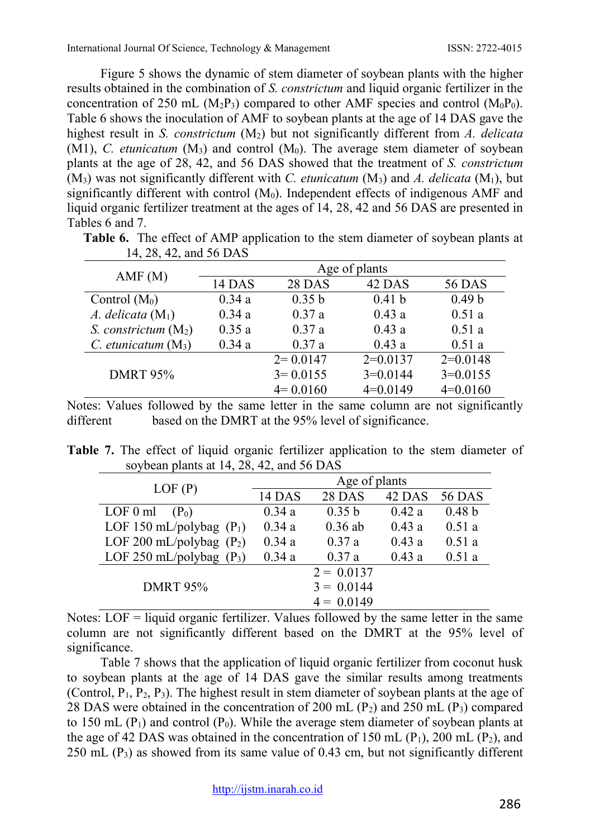Figure 5 shows the dynamic of stem diameter of soybean plants with the higher results obtained in the combination of *S. constrictum* and liquid organic fertilizer in the concentration of 250 mL  $(M_2P_3)$  compared to other AMF species and control  $(M_0P_0)$ . Table 6 shows the inoculation of AMF to soybean plants at the age of 14 DAS gave the highest result in *S. constrictum* (M2) but not significantly different from *A. delicata*   $(M1)$ , *C. etunicatum*  $(M_3)$  and control  $(M_0)$ . The average stem diameter of soybean plants at the age of 28, 42, and 56 DAS showed that the treatment of *S. constrictum*   $(M_3)$  was not significantly different with *C. etunicatum*  $(M_3)$  and *A. delicata*  $(M_1)$ , but significantly different with control  $(M_0)$ . Independent effects of indigenous AMF and liquid organic fertilizer treatment at the ages of 14, 28, 42 and 56 DAS are presented in Tables 6 and 7.

| 14, 28, 42, and 56 DAS  |               |              |                   |                   |  |  |  |  |
|-------------------------|---------------|--------------|-------------------|-------------------|--|--|--|--|
|                         | Age of plants |              |                   |                   |  |  |  |  |
| AMF(M)                  | 14 DAS        | 28 DAS       | 42 DAS            | <b>56 DAS</b>     |  |  |  |  |
| Control $(M_0)$         | 0.34a         | 0.35 b       | 0.41 <sub>b</sub> | 0.49 <sub>b</sub> |  |  |  |  |
| A. delicata $(M_1)$     | 0.34a         | 0.37a        | 0.43a             | 0.51a             |  |  |  |  |
| S. constrictum $(M_2)$  | 0.35a         | 0.37a        | 0.43a             | 0.51a             |  |  |  |  |
| $C.$ etunicatum $(M_3)$ | 0.34a         | 0.37a        | 0.43a             | 0.51a             |  |  |  |  |
|                         |               | $2=0.0147$   | $2=0.0137$        | $2=0.0148$        |  |  |  |  |
| <b>DMRT 95%</b>         |               | $3 = 0.0155$ | $3=0.0144$        | $3=0.0155$        |  |  |  |  |
|                         |               | $4=0.0160$   | $4=0.0149$        | $4=0.0160$        |  |  |  |  |

**Table 6.** The effect of AMP application to the stem diameter of soybean plants at

Notes: Values followed by the same letter in the same column are not significantly different based on the DMRT at the 95% level of significance.

|  |  |  |                                          | Table 7. The effect of liquid organic fertilizer application to the stem diameter of |  |  |  |
|--|--|--|------------------------------------------|--------------------------------------------------------------------------------------|--|--|--|
|  |  |  | soybean plants at 14, 28, 42, and 56 DAS |                                                                                      |  |  |  |

| LOF(P)                     | Age of plants |               |        |                   |  |  |  |  |
|----------------------------|---------------|---------------|--------|-------------------|--|--|--|--|
|                            | 14 DAS        | <b>28 DAS</b> | 42 DAS | <b>56 DAS</b>     |  |  |  |  |
| $LOF 0$ ml<br>$(P_0)$      | 0.34a         | 0.35 b        | 0.42a  | 0.48 <sub>b</sub> |  |  |  |  |
| LOF 150 mL/polybag $(P_1)$ | 0.34a         | $0.36$ ab     | 0.43a  | 0.51a             |  |  |  |  |
| LOF 200 mL/polybag $(P_2)$ | 0.34a         | 0.37a         | 0.43a  | 0.51a             |  |  |  |  |
| LOF 250 mL/polybag $(P_3)$ | 0.34a         | 0.37a         | 0.43a  | 0.51a             |  |  |  |  |
|                            |               | $2 = 0.0137$  |        |                   |  |  |  |  |
| <b>DMRT 95%</b>            |               | $3 = 0.0144$  |        |                   |  |  |  |  |
|                            |               | $4 = 0.0149$  |        |                   |  |  |  |  |

Notes:  $LOF =$  liquid organic fertilizer. Values followed by the same letter in the same column are not significantly different based on the DMRT at the 95% level of significance.

Table 7 shows that the application of liquid organic fertilizer from coconut husk to soybean plants at the age of 14 DAS gave the similar results among treatments (Control,  $P_1$ ,  $P_2$ ,  $P_3$ ). The highest result in stem diameter of soybean plants at the age of 28 DAS were obtained in the concentration of 200 mL  $(P_2)$  and 250 mL  $(P_3)$  compared to 150 mL  $(P_1)$  and control  $(P_0)$ . While the average stem diameter of soybean plants at the age of 42 DAS was obtained in the concentration of 150 mL  $(P_1)$ , 200 mL  $(P_2)$ , and  $250$  mL (P<sub>3</sub>) as showed from its same value of 0.43 cm, but not significantly different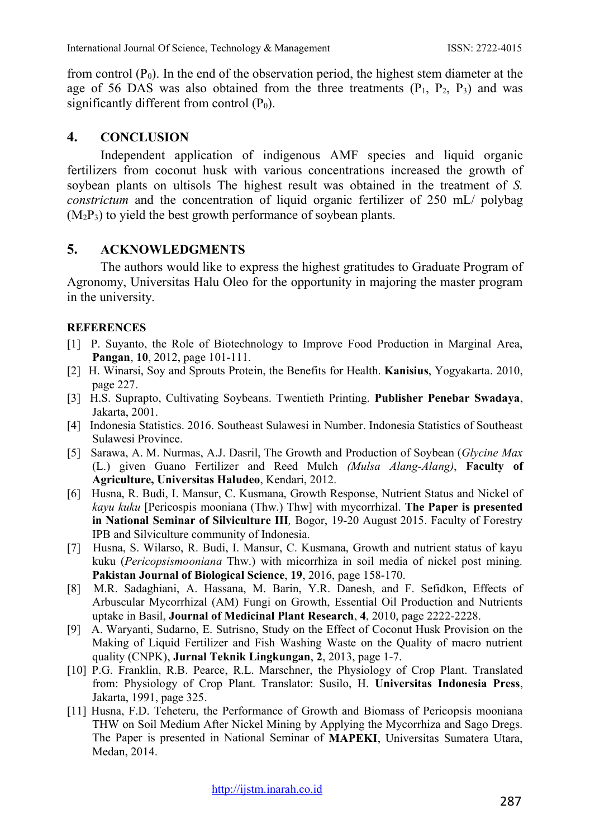from control  $(P_0)$ . In the end of the observation period, the highest stem diameter at the age of 56 DAS was also obtained from the three treatments  $(P_1, P_2, P_3)$  and was significantly different from control  $(P_0)$ .

#### **4. CONCLUSION**

Independent application of indigenous AMF species and liquid organic fertilizers from coconut husk with various concentrations increased the growth of soybean plants on ultisols The highest result was obtained in the treatment of *S. constrictum* and the concentration of liquid organic fertilizer of 250 mL/ polybag  $(M<sub>2</sub>P<sub>3</sub>)$  to yield the best growth performance of soybean plants.

### **5. ACKNOWLEDGMENTS**

The authors would like to express the highest gratitudes to Graduate Program of Agronomy, Universitas Halu Oleo for the opportunity in majoring the master program in the university.

#### **REFERENCES**

- [1] P. Suyanto, the Role of Biotechnology to Improve Food Production in Marginal Area, **Pangan**, **10**, 2012, page 101-111.
- [2] H. Winarsi, Soy and Sprouts Protein, the Benefits for Health. **Kanisius**, Yogyakarta. 2010, page 227.
- [3] H.S. Suprapto, Cultivating Soybeans. Twentieth Printing. **Publisher Penebar Swadaya**, Jakarta, 2001.
- [4] Indonesia Statistics. 2016. Southeast Sulawesi in Number. Indonesia Statistics of Southeast Sulawesi Province.
- [5] Sarawa, A. M. Nurmas, A.J. Dasril, The Growth and Production of Soybean (*Glycine Max* (L.) given Guano Fertilizer and Reed Mulch *(Mulsa Alang-Alang)*, **Faculty of Agriculture, Universitas Haludeo**, Kendari, 2012.
- [6] Husna, R. Budi, I. Mansur, C. Kusmana, Growth Response, Nutrient Status and Nickel of *kayu kuku* [Pericospis mooniana (Thw.) Thw] with mycorrhizal. **The Paper is presented in National Seminar of Silviculture III***,* Bogor, 19-20 August 2015. Faculty of Forestry IPB and Silviculture community of Indonesia.
- [7] Husna, S. Wilarso, R. Budi, I. Mansur, C. Kusmana, Growth and nutrient status of kayu kuku (*Pericopsismooniana* Thw.) with micorrhiza in soil media of nickel post mining*.*  **Pakistan Journal of Biological Science**, **19**, 2016, page 158-170.
- [8] M.R. Sadaghiani, A. Hassana, M. Barin, Y.R. Danesh, and F. Sefidkon, Effects of Arbuscular Mycorrhizal (AM) Fungi on Growth, Essential Oil Production and Nutrients uptake in Basil, **Journal of Medicinal Plant Research**, **4**, 2010, page 2222-2228.
- [9] A. Waryanti, Sudarno, E. Sutrisno, Study on the Effect of Coconut Husk Provision on the Making of Liquid Fertilizer and Fish Washing Waste on the Quality of macro nutrient quality (CNPK), **Jurnal Teknik Lingkungan**, **2**, 2013, page 1-7.
- [10] P.G. Franklin, R.B. Pearce, R.L. Marschner, the Physiology of Crop Plant. Translated from: Physiology of Crop Plant. Translator: Susilo, H. **Universitas Indonesia Press**, Jakarta, 1991, page 325.
- [11] Husna, F.D. Teheteru, the Performance of Growth and Biomass of Pericopsis mooniana THW on Soil Medium After Nickel Mining by Applying the Mycorrhiza and Sago Dregs. The Paper is presented in National Seminar of **MAPEKI**, Universitas Sumatera Utara, Medan, 2014.